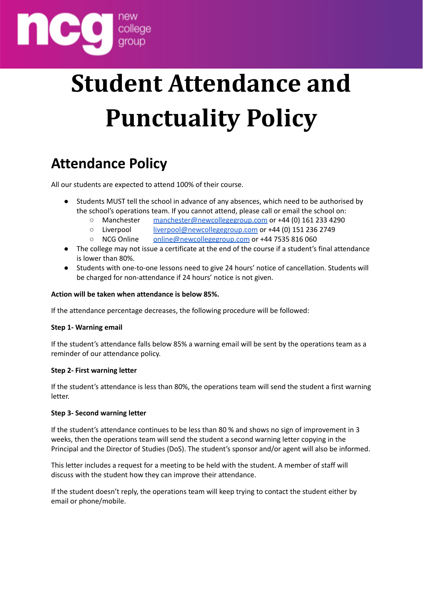

## **Student Attendance and Punctuality Policy**

## **Attendance Policy**

All our students are expected to attend 100% of their course.

- Students MUST tell the school in advance of any absences, which need to be authorised by the school's operations team. If you cannot attend, please call or email the school on:
	- Manchester [manchester@newcollegegroup.com](mailto:manchester@newcollegegroup.com) or +44 (0) 161 233 4290
	- Liverpool [liverpool@newcollegegroup.com](mailto:liverpool@newcollegegroup.com) or +44 (0) 151 236 2749
	- NCG Online [online@newcollegegroup.com](mailto:online@newcollegegroup.com) or +44 7535 816 060
- The college may not issue a certificate at the end of the course if a student's final attendance is lower than 80%.
- Students with one-to-one lessons need to give 24 hours' notice of cancellation. Students will be charged for non-attendance if 24 hours' notice is not given.

#### **Action will be taken when attendance is below 85%.**

If the attendance percentage decreases, the following procedure will be followed:

#### **Step 1- Warning email**

If the student's attendance falls below 85% a warning email will be sent by the operations team as a reminder of our attendance policy.

#### **Step 2- First warning letter**

If the student's attendance is less than 80%, the operations team will send the student a first warning letter.

#### **Step 3- Second warning letter**

If the student's attendance continues to be less than 80 % and shows no sign of improvement in 3 weeks, then the operations team will send the student a second warning letter copying in the Principal and the Director of Studies (DoS). The student's sponsor and/or agent will also be informed.

This letter includes a request for a meeting to be held with the student. A member of staff will discuss with the student how they can improve their attendance.

If the student doesn't reply, the operations team will keep trying to contact the student either by email or phone/mobile.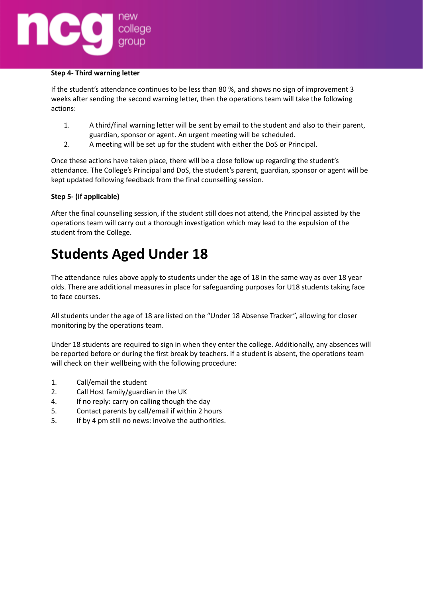# college

#### **Step 4- Third warning letter**

If the student's attendance continues to be less than 80 %, and shows no sign of improvement 3 weeks after sending the second warning letter, then the operations team will take the following actions:

- 1. A third/final warning letter will be sent by email to the student and also to their parent, guardian, sponsor or agent. An urgent meeting will be scheduled.
- 2. A meeting will be set up for the student with either the DoS or Principal.

Once these actions have taken place, there will be a close follow up regarding the student's attendance. The College's Principal and DoS, the student's parent, guardian, sponsor or agent will be kept updated following feedback from the final counselling session.

#### **Step 5- (if applicable)**

After the final counselling session, if the student still does not attend, the Principal assisted by the operations team will carry out a thorough investigation which may lead to the expulsion of the student from the College.

## **Students Aged Under 18**

The attendance rules above apply to students under the age of 18 in the same way as over 18 year olds. There are additional measures in place for safeguarding purposes for U18 students taking face to face courses.

All students under the age of 18 are listed on the "Under 18 Absense Tracker", allowing for closer monitoring by the operations team.

Under 18 students are required to sign in when they enter the college. Additionally, any absences will be reported before or during the first break by teachers. If a student is absent, the operations team will check on their wellbeing with the following procedure:

- 1. Call/email the student
- 2. Call Host family/guardian in the UK
- 4. If no reply: carry on calling though the day
- 5. Contact parents by call/email if within 2 hours
- 5. If by 4 pm still no news: involve the authorities.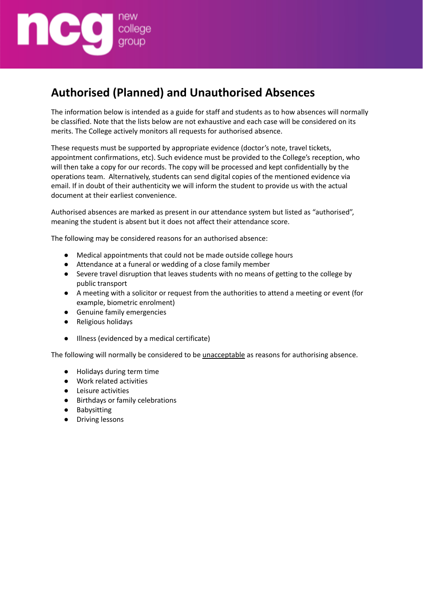

### **Authorised (Planned) and Unauthorised Absences**

The information below is intended as a guide for staff and students as to how absences will normally be classified. Note that the lists below are not exhaustive and each case will be considered on its merits. The College actively monitors all requests for authorised absence.

These requests must be supported by appropriate evidence (doctor's note, travel tickets, appointment confirmations, etc). Such evidence must be provided to the College's reception, who will then take a copy for our records. The copy will be processed and kept confidentially by the operations team. Alternatively, students can send digital copies of the mentioned evidence via email. If in doubt of their authenticity we will inform the student to provide us with the actual document at their earliest convenience.

Authorised absences are marked as present in our attendance system but listed as "authorised", meaning the student is absent but it does not affect their attendance score.

The following may be considered reasons for an authorised absence:

- Medical appointments that could not be made outside college hours
- Attendance at a funeral or wedding of a close family member
- Severe travel disruption that leaves students with no means of getting to the college by public transport
- A meeting with a solicitor or request from the authorities to attend a meeting or event (for example, biometric enrolment)
- Genuine family emergencies
- Religious holidays
- Illness (evidenced by a medical certificate)

The following will normally be considered to be unacceptable as reasons for authorising absence.

- Holidays during term time
- Work related activities
- Leisure activities
- Birthdays or family celebrations
- Babysitting
- Driving lessons